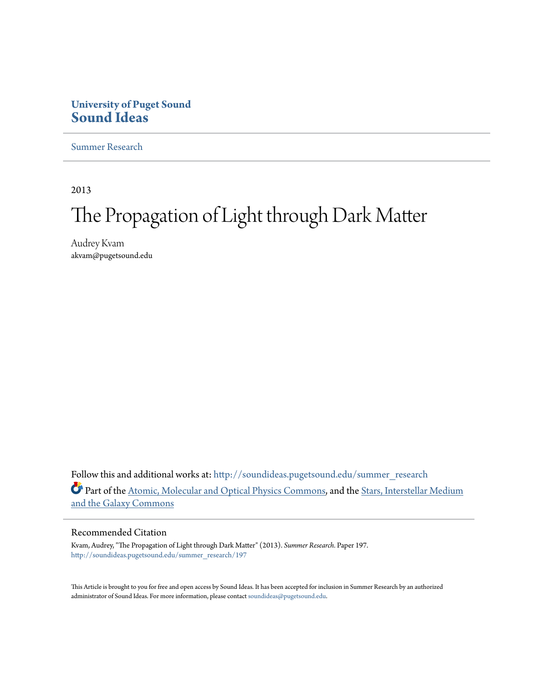### **University of Puget Sound [Sound Ideas](http://soundideas.pugetsound.edu?utm_source=soundideas.pugetsound.edu%2Fsummer_research%2F197&utm_medium=PDF&utm_campaign=PDFCoverPages)**

[Summer Research](http://soundideas.pugetsound.edu/summer_research?utm_source=soundideas.pugetsound.edu%2Fsummer_research%2F197&utm_medium=PDF&utm_campaign=PDFCoverPages)

2013

# The Propagation of Light through Dark Matter

Audrey Kvam akvam@pugetsound.edu

Follow this and additional works at: [http://soundideas.pugetsound.edu/summer\\_research](http://soundideas.pugetsound.edu/summer_research?utm_source=soundideas.pugetsound.edu%2Fsummer_research%2F197&utm_medium=PDF&utm_campaign=PDFCoverPages) Part of the [Atomic, Molecular and Optical Physics Commons,](http://network.bepress.com/hgg/discipline/195?utm_source=soundideas.pugetsound.edu%2Fsummer_research%2F197&utm_medium=PDF&utm_campaign=PDFCoverPages) and the [Stars, Interstellar Medium](http://network.bepress.com/hgg/discipline/127?utm_source=soundideas.pugetsound.edu%2Fsummer_research%2F197&utm_medium=PDF&utm_campaign=PDFCoverPages) [and the Galaxy Commons](http://network.bepress.com/hgg/discipline/127?utm_source=soundideas.pugetsound.edu%2Fsummer_research%2F197&utm_medium=PDF&utm_campaign=PDFCoverPages)

### Recommended Citation

Kvam, Audrey, "The Propagation of Light through Dark Matter" (2013). *Summer Research.* Paper 197. [http://soundideas.pugetsound.edu/summer\\_research/197](http://soundideas.pugetsound.edu/summer_research/197?utm_source=soundideas.pugetsound.edu%2Fsummer_research%2F197&utm_medium=PDF&utm_campaign=PDFCoverPages)

This Article is brought to you for free and open access by Sound Ideas. It has been accepted for inclusion in Summer Research by an authorized administrator of Sound Ideas. For more information, please contact [soundideas@pugetsound.edu](mailto:soundideas@pugetsound.edu).